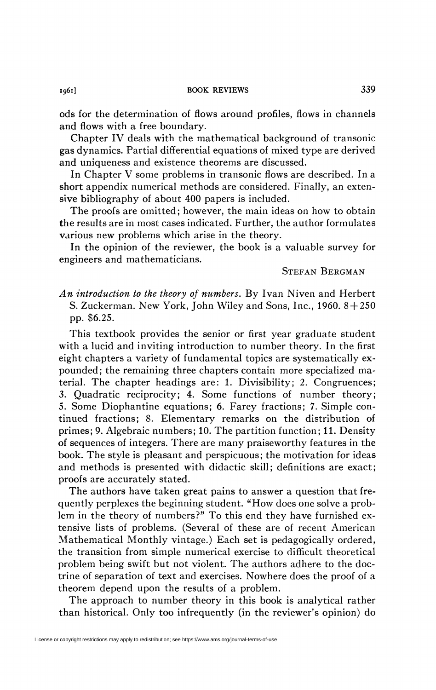ods for the determination of flows around profiles, flows in channels and flows with a free boundary.

Chapter IV deals with the mathematical background of transonic gas dynamics. Partial differential equations of mixed type are derived and uniqueness and existence theorems are discussed.

In Chapter V some problems in transonic flows are described. In a short appendix numerical methods are considered. Finally, an extensive bibliography of about 400 papers is included.

The proofs are omitted; however, the main ideas on how to obtain the results are in most cases indicated. Further, the author formulates various new problems which arise in the theory.

In the opinion of the reviewer, the book is a valuable survey for engineers and mathematicians.

STEFAN BERGMAN

*An introduction to the theory of numbers.* By Ivan Niven and Herbert S. Zuckerman, New York, John Wiley and Sons, Inc.,  $1960.8 + 250$ pp. \$6.25.

This textbook provides the senior or first year graduate student with a lucid and inviting introduction to number theory. In the first eight chapters a variety of fundamental topics are systematically expounded ; the remaining three chapters contain more specialized material. The chapter headings are: 1. Divisibility; 2. Congruences; 3. Quadratic reciprocity; 4. Some functions of number theory; 5. Some Diophantine equations; 6. Farey fractions; 7. Simple continued fractions; 8. Elementary remarks on the distribution of primes; 9. Algebraic numbers; 10. The partition function; 11. Density of sequences of integers. There are many praiseworthy features in the book. The style is pleasant and perspicuous; the motivation for ideas and methods is presented with didactic skill; definitions are exact; proofs are accurately stated.

The authors have taken great pains to answer a question that frequently perplexes the beginning student. "How does one solve a problem in the theory of numbers?" To this end they have furnished extensive lists of problems. (Several of these are of recent American Mathematical Monthly vintage.) Each set is pedagogically ordered, the transition from simple numerical exercise to difficult theoretical problem being swift but not violent. The authors adhere to the doctrine of separation of text and exercises. Nowhere does the proof of a theorem depend upon the results of a problem.

The approach to number theory in this book is analytical rather than historical. Only too infrequently (in the reviewer's opinion) do